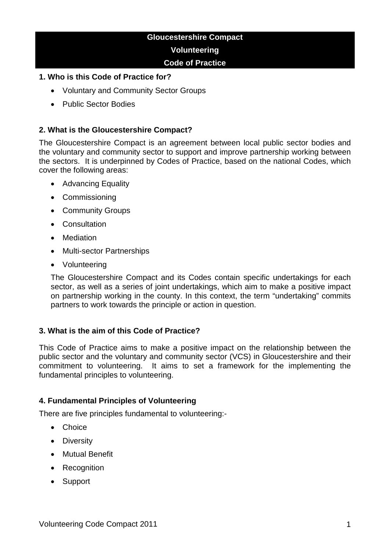# **Gloucestershire Compact Volunteering Code of Practice**

### **1. Who is this Code of Practice for?**

- Voluntary and Community Sector Groups
- Public Sector Bodies

### **2. What is the Gloucestershire Compact?**

The Gloucestershire Compact is an agreement between local public sector bodies and the voluntary and community sector to support and improve partnership working between the sectors. It is underpinned by Codes of Practice, based on the national Codes, which cover the following areas:

- Advancing Equality
- Commissioning
- Community Groups
- Consultation
- **Mediation**
- Multi-sector Partnerships
- Volunteering

The Gloucestershire Compact and its Codes contain specific undertakings for each sector, as well as a series of joint undertakings, which aim to make a positive impact on partnership working in the county. In this context, the term "undertaking" commits partners to work towards the principle or action in question.

#### **3. What is the aim of this Code of Practice?**

This Code of Practice aims to make a positive impact on the relationship between the public sector and the voluntary and community sector (VCS) in Gloucestershire and their commitment to volunteering. It aims to set a framework for the implementing the fundamental principles to volunteering.

#### **4. Fundamental Principles of Volunteering**

There are five principles fundamental to volunteering:-

- Choice
- Diversity
- Mutual Benefit
- Recognition
- Support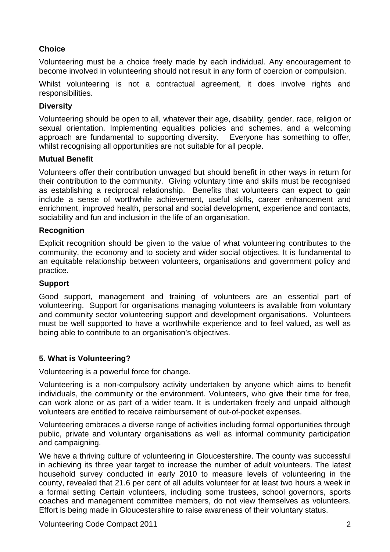# **Choice**

Volunteering must be a choice freely made by each individual. Any encouragement to become involved in volunteering should not result in any form of coercion or compulsion.

Whilst volunteering is not a contractual agreement, it does involve rights and responsibilities.

### **Diversity**

Volunteering should be open to all, whatever their age, disability, gender, race, religion or sexual orientation. Implementing equalities policies and schemes, and a welcoming approach are fundamental to supporting diversity. Everyone has something to offer, whilst recognising all opportunities are not suitable for all people.

#### **Mutual Benefit**

Volunteers offer their contribution unwaged but should benefit in other ways in return for their contribution to the community. Giving voluntary time and skills must be recognised as establishing a reciprocal relationship. Benefits that volunteers can expect to gain include a sense of worthwhile achievement, useful skills, career enhancement and enrichment, improved health, personal and social development, experience and contacts, sociability and fun and inclusion in the life of an organisation.

#### **Recognition**

Explicit recognition should be given to the value of what volunteering contributes to the community, the economy and to society and wider social objectives. It is fundamental to an equitable relationship between volunteers, organisations and government policy and practice.

# **Support**

Good support, management and training of volunteers are an essential part of volunteering. Support for organisations managing volunteers is available from voluntary and community sector volunteering support and development organisations. Volunteers must be well supported to have a worthwhile experience and to feel valued, as well as being able to contribute to an organisation's objectives.

# **5. What is Volunteering?**

Volunteering is a powerful force for change.

Volunteering is a non-compulsory activity undertaken by anyone which aims to benefit individuals, the community or the environment. Volunteers, who give their time for free, can work alone or as part of a wider team. It is undertaken freely and unpaid although volunteers are entitled to receive reimbursement of out-of-pocket expenses.

Volunteering embraces a diverse range of activities including formal opportunities through public, private and voluntary organisations as well as informal community participation and campaigning.

We have a thriving culture of volunteering in Gloucestershire. The county was successful in achieving its three year target to increase the number of adult volunteers. The latest household survey conducted in early 2010 to measure levels of volunteering in the county, revealed that 21.6 per cent of all adults volunteer for at least two hours a week in a formal setting Certain volunteers, including some trustees, school governors, sports coaches and management committee members, do not view themselves as volunteers. Effort is being made in Gloucestershire to raise awareness of their voluntary status.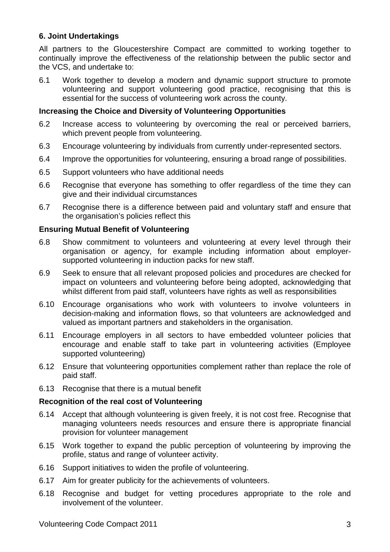### **6. Joint Undertakings**

All partners to the Gloucestershire Compact are committed to working together to continually improve the effectiveness of the relationship between the public sector and the VCS, and undertake to:

6.1 Work together to develop a modern and dynamic support structure to promote volunteering and support volunteering good practice, recognising that this is essential for the success of volunteering work across the county.

### **Increasing the Choice and Diversity of Volunteering Opportunities**

- 6.2 Increase access to volunteering by overcoming the real or perceived barriers, which prevent people from volunteering.
- 6.3 Encourage volunteering by individuals from currently under-represented sectors.
- 6.4 Improve the opportunities for volunteering, ensuring a broad range of possibilities.
- 6.5 Support volunteers who have additional needs
- 6.6 Recognise that everyone has something to offer regardless of the time they can give and their individual circumstances
- 6.7 Recognise there is a difference between paid and voluntary staff and ensure that the organisation's policies reflect this

### **Ensuring Mutual Benefit of Volunteering**

- 6.8 Show commitment to volunteers and volunteering at every level through their organisation or agency, for example including information about employersupported volunteering in induction packs for new staff.
- 6.9 Seek to ensure that all relevant proposed policies and procedures are checked for impact on volunteers and volunteering before being adopted, acknowledging that whilst different from paid staff, volunteers have rights as well as responsibilities
- 6.10 Encourage organisations who work with volunteers to involve volunteers in decision-making and information flows, so that volunteers are acknowledged and valued as important partners and stakeholders in the organisation.
- 6.11 Encourage employers in all sectors to have embedded volunteer policies that encourage and enable staff to take part in volunteering activities (Employee supported volunteering)
- 6.12 Ensure that volunteering opportunities complement rather than replace the role of paid staff.
- 6.13 Recognise that there is a mutual benefit

#### **Recognition of the real cost of Volunteering**

- 6.14 Accept that although volunteering is given freely, it is not cost free. Recognise that managing volunteers needs resources and ensure there is appropriate financial provision for volunteer management
- 6.15 Work together to expand the public perception of volunteering by improving the profile, status and range of volunteer activity.
- 6.16 Support initiatives to widen the profile of volunteering.
- 6.17 Aim for greater publicity for the achievements of volunteers.
- 6.18 Recognise and budget for vetting procedures appropriate to the role and involvement of the volunteer.